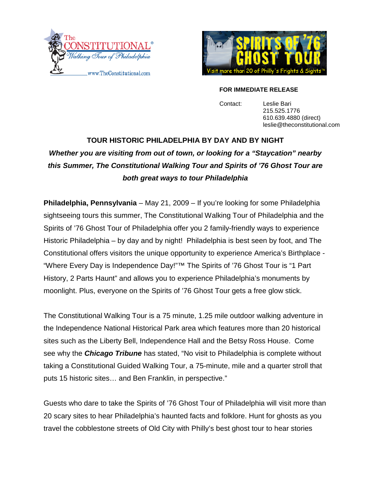



#### **FOR IMMEDIATE RELEASE**

Contact: Leslie Bari 215.525.1776 610.639.4880 (direct) leslie@theconstitutional.com

# **TOUR HISTORIC PHILADELPHIA BY DAY AND BY NIGHT** *Whether you are visiting from out of town, or looking for a "Staycation" nearby this Summer, The Constitutional Walking Tour and Spirits of '[76 Ghost Tour are](mailto:jon@catavault.com) both great ways to tour Philadelphia*

**Philadelphia, Pennsylvania** – May 21, 2009 – If you're looking for some Philadelphia sightseeing tours this summer, The Constitutional Walking Tour of Philadelphia and the Spirits of '76 Ghost Tour of Philadelphia offer you 2 family-friendly ways to experience Historic Philadelphia – by day and by night! Philadelphia is best seen by foot, and The Constitutional offers visitors the unique opportunity to experience America's Birthplace - "Where Every Day is Independence Day!"™ The Spirits of '76 Ghost Tour is "1 Part History, 2 Parts Haunt" and allows you to experience Philadelphia's monuments by moonlight. Plus, everyone on the Spirits of '76 Ghost Tour gets a free glow stick.

The Constitutional Walking Tour is a 75 minute, 1.25 mile outdoor walking adventure in the Independence National Historical Park area which features more than 20 historical sites such as the Liberty Bell, Independence Hall and the Betsy Ross House. Come see why the *Chicago Tribune* has stated, "No visit to Philadelphia is complete without taking a Constitutional Guided Walking Tour, a 75-minute, mile and a quarter stroll that puts 15 historic sites… and Ben Franklin, in perspective."

Guests who dare to take the Spirits of '76 Ghost Tour of Philadelphia will visit more than 20 scary sites to hear Philadelphia's haunted facts and folklore. Hunt for ghosts as you travel the cobblestone streets of Old City with Philly's best ghost tour to hear stories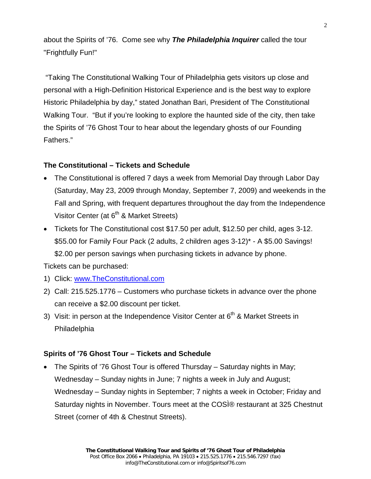about the Spirits of '76. Come see why *The Philadelphia Inquirer* called the tour "Frightfully Fun!"

"Taking The Constitutional Walking Tour of Philadelphia gets visitors up close and personal with a High-Definition Historical Experience and is the best way to explore Historic Philadelphia by day," stated Jonathan Bari, President of The Constitutional Walking Tour. "But if you're looking to explore the haunted side of the city, then take the Spirits of '76 Ghost Tour to hear about the legendary ghosts of our Founding Fathers."

### **The Constitutional – Tickets and Schedule**

- The Constitutional is offered 7 days a week from Memorial Day through Labor Day (Saturday, May 23, 2009 through Monday, September 7, 2009) and weekends in the Fall and Spring, with frequent departures throughout the day from the Independence Visitor Center (at  $6<sup>th</sup>$  & Market Streets)
- Tickets for The Constitutional cost \$17.50 per adult, \$12.50 per child, ages 3-12. \$55.00 for Family Four Pack (2 adults, 2 children ages 3-12)\* - A \$5.00 Savings! \$2.00 per person savings when purchasing tickets in advance by phone. Tickets can be purchased:
- 1) Click: [www.TheConstitutional.com](http://www.theconstitutional.com/)
- 2) Call: 215.525.1776 Customers who purchase tickets in advance over the phone can receive a \$2.00 discount per ticket.
- 3) Visit: in person at the Independence Visitor Center at  $6<sup>th</sup>$  & Market Streets in Philadelphia

#### **Spirits of '76 Ghost Tour – Tickets and Schedule**

• The Spirits of '76 Ghost Tour is offered Thursday – Saturday nights in May; Wednesday – Sunday nights in June; 7 nights a week in July and August; Wednesday – Sunday nights in September; 7 nights a week in October; Friday and Saturday nights in November. Tours meet at the COSÌ® restaurant at 325 Chestnut Street (corner of 4th & Chestnut Streets).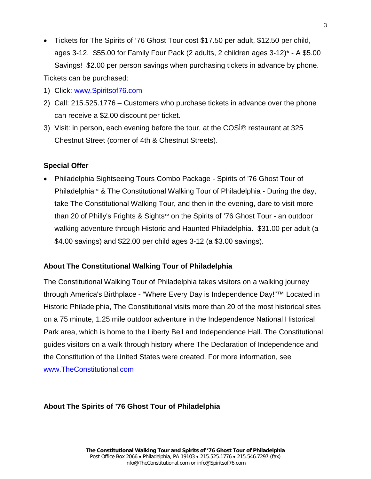- Tickets for The Spirits of '76 Ghost Tour cost \$17.50 per adult, \$12.50 per child, ages 3-12. \$55.00 for Family Four Pack (2 adults, 2 children ages 3-12)\* - A \$5.00 Savings! \$2.00 per person savings when purchasing tickets in advance by phone. Tickets can be purchased:
- 1) Click: [www.Spiritsof76.com](http://www.spiritsof76.com/)
- 2) Call: 215.525.1776 Customers who purchase tickets in advance over the phone can receive a \$2.00 discount per ticket.
- 3) Visit: in person, each evening before the tour, at the COSÌ® restaurant at 325 Chestnut Street (corner of 4th & Chestnut Streets).

## **Special Offer**

• Philadelphia Sightseeing Tours Combo Package - Spirits of '76 Ghost Tour of Philadelphia $\mathbb{M}$  & The Constitutional Walking Tour of Philadelphia - During the day, take The Constitutional Walking Tour, and then in the evening, dare to visit more than 20 of Philly's Frights & Sights™ on the Spirits of '76 Ghost Tour - an outdoor walking adventure through Historic and Haunted Philadelphia. \$31.00 per adult (a \$4.00 savings) and \$22.00 per child ages 3-12 (a \$3.00 savings).

## **About The Constitutional Walking Tour of Philadelphia**

The Constitutional Walking Tour of Philadelphia takes visitors on a walking journey through America's Birthplace - "Where Every Day is Independence Day!"™ Located in Historic Philadelphia, The Constitutional visits more than 20 of the most historical sites on a 75 minute, 1.25 mile outdoor adventure in the Independence National Historical Park area, which is home to the Liberty Bell and Independence Hall. The Constitutional guides visitors on a walk through history where The Declaration of Independence and the Constitution of the United States were created. For more information, see [www.TheConstitutional.com](http://www.theconstitutional.com/)

## **About The Spirits of '76 Ghost Tour of Philadelphia**